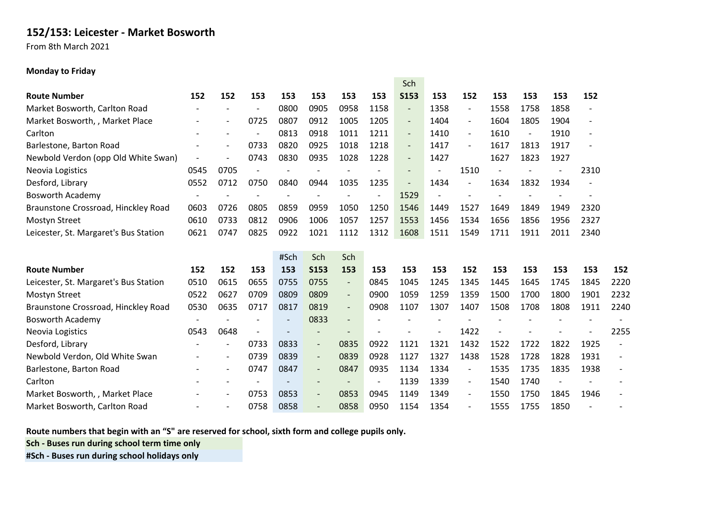## **152/153: Leicester - Market Bosworth**

From 8th March 2021

## **Monday to Friday**

|                                       |                          |                          |      |      |                          |                          |      | Sch                      |      |                          |      |                          |                          |                          |      |
|---------------------------------------|--------------------------|--------------------------|------|------|--------------------------|--------------------------|------|--------------------------|------|--------------------------|------|--------------------------|--------------------------|--------------------------|------|
| <b>Route Number</b>                   | 152                      | 152                      | 153  | 153  | 153                      | 153                      | 153  | <b>S153</b>              | 153  | 152                      | 153  | 153                      | 153                      | 152                      |      |
| Market Bosworth, Carlton Road         | $\overline{\phantom{a}}$ |                          |      | 0800 | 0905                     | 0958                     | 1158 | $\overline{\phantom{a}}$ | 1358 | $\overline{\phantom{a}}$ | 1558 | 1758                     | 1858                     | -                        |      |
| Market Bosworth, , Market Place       |                          |                          | 0725 | 0807 | 0912                     | 1005                     | 1205 | $\overline{\phantom{a}}$ | 1404 | $\overline{\phantom{a}}$ | 1604 | 1805                     | 1904                     | $\overline{\phantom{a}}$ |      |
| Carlton                               |                          |                          |      | 0813 | 0918                     | 1011                     | 1211 | $\overline{\phantom{a}}$ | 1410 | $\overline{\phantom{a}}$ | 1610 | $\overline{\phantom{a}}$ | 1910                     | $\overline{\phantom{a}}$ |      |
| Barlestone, Barton Road               |                          | $\overline{\phantom{a}}$ | 0733 | 0820 | 0925                     | 1018                     | 1218 | $\overline{\phantom{a}}$ | 1417 | $\blacksquare$           | 1617 | 1813                     | 1917                     | $\overline{\phantom{a}}$ |      |
| Newbold Verdon (opp Old White Swan)   |                          |                          | 0743 | 0830 | 0935                     | 1028                     | 1228 | $\overline{\phantom{a}}$ | 1427 |                          | 1627 | 1823                     | 1927                     |                          |      |
| Neovia Logistics                      | 0545                     | 0705                     |      |      |                          |                          |      | $\qquad \qquad -$        |      | 1510                     |      |                          |                          | 2310                     |      |
| Desford, Library                      | 0552                     | 0712                     | 0750 | 0840 | 0944                     | 1035                     | 1235 |                          | 1434 |                          | 1634 | 1832                     | 1934                     |                          |      |
| <b>Bosworth Academy</b>               |                          |                          |      |      |                          |                          |      | 1529                     |      |                          |      |                          |                          |                          |      |
| Braunstone Crossroad, Hinckley Road   | 0603                     | 0726                     | 0805 | 0859 | 0959                     | 1050                     | 1250 | 1546                     | 1449 | 1527                     | 1649 | 1849                     | 1949                     | 2320                     |      |
| <b>Mostyn Street</b>                  | 0610                     | 0733                     | 0812 | 0906 | 1006                     | 1057                     | 1257 | 1553                     | 1456 | 1534                     | 1656 | 1856                     | 1956                     | 2327                     |      |
| Leicester, St. Margaret's Bus Station | 0621                     | 0747                     | 0825 | 0922 | 1021                     | 1112                     | 1312 | 1608                     | 1511 | 1549                     | 1711 | 1911                     | 2011                     | 2340                     |      |
|                                       |                          |                          |      |      |                          |                          |      |                          |      |                          |      |                          |                          |                          |      |
|                                       |                          |                          |      | #Sch | Sch                      | Sch                      |      |                          |      |                          |      |                          |                          |                          |      |
| <b>Route Number</b>                   | 152                      | 152                      | 153  | 153  | <b>S153</b>              | 153                      | 153  | 153                      | 153  | 152                      | 153  | 153                      | 153                      | 153                      | 152  |
|                                       |                          |                          |      |      |                          |                          |      |                          |      |                          |      |                          |                          |                          |      |
| Leicester, St. Margaret's Bus Station | 0510                     | 0615                     | 0655 | 0755 | 0755                     | $\overline{\phantom{a}}$ | 0845 | 1045                     | 1245 | 1345                     | 1445 | 1645                     | 1745                     | 1845                     | 2220 |
| <b>Mostyn Street</b>                  | 0522                     | 0627                     | 0709 | 0809 | 0809                     | $\overline{\phantom{a}}$ | 0900 | 1059                     | 1259 | 1359                     | 1500 | 1700                     | 1800                     | 1901                     | 2232 |
| Braunstone Crossroad, Hinckley Road   | 0530                     | 0635                     | 0717 | 0817 | 0819                     | $\overline{\phantom{a}}$ | 0908 | 1107                     | 1307 | 1407                     | 1508 | 1708                     | 1808                     | 1911                     | 2240 |
| <b>Bosworth Academy</b>               |                          |                          |      |      | 0833                     | $\overline{\phantom{a}}$ |      |                          |      |                          |      |                          |                          |                          |      |
| Neovia Logistics                      | 0543                     | 0648                     |      |      | $\overline{\phantom{a}}$ | $\overline{\phantom{a}}$ |      |                          |      | 1422                     |      |                          |                          |                          | 2255 |
| Desford, Library                      |                          | $\overline{\phantom{a}}$ | 0733 | 0833 | $\overline{\phantom{a}}$ | 0835                     | 0922 | 1121                     | 1321 | 1432                     | 1522 | 1722                     | 1822                     | 1925                     |      |
| Newbold Verdon, Old White Swan        |                          | $\overline{\phantom{a}}$ | 0739 | 0839 | $\overline{\phantom{a}}$ | 0839                     | 0928 | 1127                     | 1327 | 1438                     | 1528 | 1728                     | 1828                     | 1931                     |      |
| Barlestone, Barton Road               |                          | $\overline{\phantom{a}}$ | 0747 | 0847 | $\overline{\phantom{a}}$ | 0847                     | 0935 | 1134                     | 1334 | $\overline{\phantom{a}}$ | 1535 | 1735                     | 1835                     | 1938                     |      |
| Carlton                               |                          |                          |      |      | $\overline{\phantom{a}}$ | $\overline{\phantom{a}}$ |      | 1139                     | 1339 | $\overline{\phantom{a}}$ | 1540 | 1740                     | $\overline{\phantom{0}}$ |                          |      |
| Market Bosworth, , Market Place       |                          | $\overline{\phantom{a}}$ | 0753 | 0853 | $\overline{\phantom{a}}$ | 0853                     | 0945 | 1149                     | 1349 | $\overline{\phantom{0}}$ | 1550 | 1750                     | 1845                     | 1946                     |      |

**Route numbers that begin with an "S" are reserved for school, sixth form and college pupils only.**

**Sch - Buses run during school term time only**

**#Sch - Buses run during school holidays only**